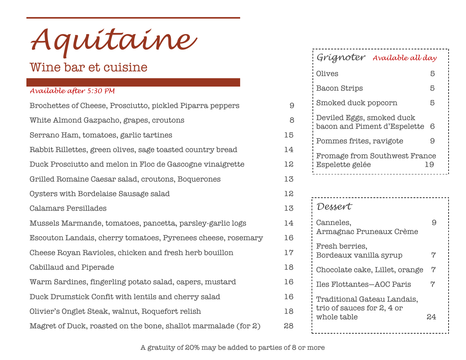*Aquitaine*

# Wine bar et cuisine

### *Available after 5:30 PM*

| Brochettes of Cheese, Prosciutto, pickled Piparra peppers      | 9  |
|----------------------------------------------------------------|----|
| White Almond Gazpacho, grapes, croutons                        | 8  |
| Serrano Ham, tomatoes, garlic tartines                         | 15 |
| Rabbit Rillettes, green olives, sage toasted country bread     | 14 |
| Duck Prosciutto and melon in Floc de Gascogne vinaigrette      | 12 |
| Grilled Romaine Caesar salad, croutons, Boquerones             | 13 |
| Oysters with Bordelaise Sausage salad                          | 12 |
| <b>Calamars Persillades</b>                                    | 13 |
| Mussels Marmande, tomatoes, pancetta, parsley-garlic logs      | 14 |
| Escouton Landais, cherry tomatoes, Pyrenees cheese, rosemary   | 16 |
| Cheese Royan Ravioles, chicken and fresh herb bouillon         | 17 |
| Cabillaud and Piperade                                         | 18 |
| Warm Sardines, fingerling potato salad, capers, mustard        | 16 |
| Duck Drumstick Confit with lentils and cherry salad            | 16 |
| Olivier's Onglet Steak, walnut, Roquefort relish               | 18 |
| Magret of Duck, roasted on the bone, shallot marmalade (for 2) | 28 |

## *Grignoter Available all day*

| Olives                                                    | Ҕ  |
|-----------------------------------------------------------|----|
| <b>Bacon Strips</b>                                       | 5  |
| Smoked duck popcorn                                       | 5  |
| Deviled Eggs, smoked duck<br>bacon and Piment d'Espelette | 6  |
| Pommes frites, ravigote                                   | 9  |
| Fromage from Southwest France<br>Espelette gelée          | 19 |
|                                                           |    |

| Dessert                                                                  |    |
|--------------------------------------------------------------------------|----|
| Canneles,<br>Armagnac Pruneaux Crème                                     |    |
| Fresh berries,<br>Bordeaux vanilla syrup                                 | 7  |
| Chocolate cake, Lillet, orange                                           | 7  |
| <b>Iles Flottantes-AOC Paris</b>                                         | 7  |
| Traditional Gateau Landais,<br>trio of sauces for 2, 4 or<br>whole table | 24 |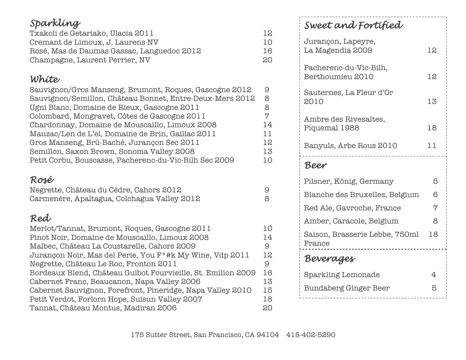# *Sparkling*

| Txakoli de Getariako, Ulacia 2011          | 12 |
|--------------------------------------------|----|
| Cremant de Limoux, J. Laurens NV           | 10 |
| Rosé, Mas de Daumas Gassac, Languedoc 2012 | 16 |
| Champagne, Laurent Perrier, NV             | 20 |

# *White*

| Sauvignon/Gros Manseng, Brumont, Roques, Gascogne 2012   | 9   |
|----------------------------------------------------------|-----|
| Sauvignon/Semillon, Château Bonnet, Entre-Deux-Mers 2012 | 8   |
| Ugni Blanc, Domaine de Rieux, Gascogne 2011              |     |
| Colombard, Mongravet, Côtes de Gascogne 2011             | ry. |
| Chardonnay, Domaine de Mouscaillo, Limoux 2008           | 14  |
| Mauzac/Len de L'el, Domaine de Brin, Gaillac 2011        | 11  |
| Gros Manseng, Brû-Baché, Jurançon Sec 2011               | 12  |
| Semillon, Saxon Brown, Sonoma Valley 2008                | 13  |
| Petit Corbu, Bouscasse, Pacherenc-du-Vic-Bilh Sec 2009   | 10  |

## *Rosé*

| Negrette, Château du Cèdre, Cahors 2012     |  |
|---------------------------------------------|--|
| Carmenère, Apaltagua, Colchagua Valley 2012 |  |

# *Red*

| Merlot/Tannat, Brumont, Roques, Gascogne 2011                         | 10 |
|-----------------------------------------------------------------------|----|
| Pinot Noir, Domaine de Mouscaillo, Limoux 2008                        | 14 |
| Malbec, Château La Coustarelle, Cahors 2009                           | 9  |
| Jurançon Noir, Mas del Perie, You F <sup>*</sup> #k My Wine, Vdp 2011 | 12 |
| Negrette, Château Le Roc, Fronton 2011                                | 9  |
| Bordeaux Blend, Château Guibot Fourvieille, St. Emilion 2009          | 16 |
| Cabernet Franc, Beaucanon, Napa Valley 2006                           | 13 |
| Cabernet Sauvignon, Forefront, Pineridge, Napa Valley 2010            | 15 |
| Petit Verdot, Forlorn Hope, Suisun Valley 2007                        | 18 |
| Tannat, Château Montus, Madiran 2006                                  | 20 |

# *Sweet and Fortified*

| Jurançon, Lapeyre,<br>La Magendia 2009     | 12 |
|--------------------------------------------|----|
| Pacherenc-du-Vic-Bilh,<br>Berthoumieu 2010 | 12 |
| Sauternes, La Fleur d'Or<br>2010           | 13 |
| Ambre des Rivesaltes,<br>Piquemal 1988     | 18 |
| Banyuls, Arbe Rous 2010                    | 11 |
| Beer                                       |    |
| Pilsner, König, Germany                    | 5  |
| Blanche des Bruxelles, Belgium             | 6  |
| Red Ale, Gavroche, France                  | 7  |
| Amber, Caracole, Belgium                   | 8  |
| Saison, Brasserie Lebbe, 750ml<br>France   | 18 |
| Beverages                                  |    |
| <b>Sparkling Lemonade</b>                  | 4  |
| <b>Bundaberg Ginger Beer</b>               | 5  |
|                                            |    |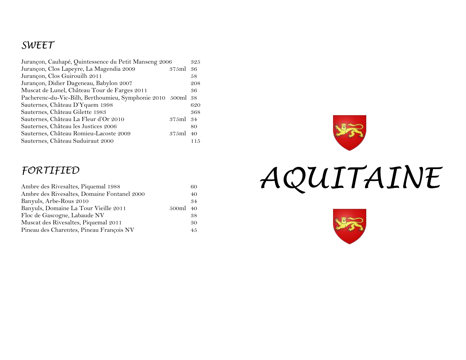## *SWEET*

| Jurançon, Cauhapé, Quintessence du Petit Manseng 2006       |       | 325 |
|-------------------------------------------------------------|-------|-----|
| Jurançon, Clos Lapeyre, La Magendia 2009                    | 375ml | 36  |
| Jurançon, Clos Guirouilh 2011                               |       | 58  |
| Jurançon, Didier Dageneau, Babylon 2007                     |       | 208 |
| Muscat de Lunel, Château Tour de Farges 2011                |       | 36  |
| Pacherenc-du-Vic-Bilh, Berthoumieu, Symphonie 2010 500ml 38 |       |     |
| Sauternes, Château D'Yquem 1998                             |       | 620 |
| Sauternes, Château Gilette 1983                             |       | 368 |
| Sauternes, Château La Fleur d'Or 2010                       | 375ml | 34  |
| Sauternes, Château les Justices 2006                        |       | 80  |
| Sauternes, Château Romieu-Lacoste 2009                      | 375ml | 40  |
| Sauternes, Château Suduiraut 2000                           |       | 115 |

## *FORTIFIED*

| Ambre des Rivesaltes, Piquemal 1988         |          | 60  |
|---------------------------------------------|----------|-----|
| Ambre des Rivesaltes, Domaine Fontanel 2000 |          | 40  |
| Banyuls, Arbe-Rous 2010                     |          | .34 |
| Banyuls, Domaine La Tour Vieille 2011       | 500ml 40 |     |
| Floc de Gascogne, Labaude NV                |          | 38  |
| Muscat des Rivesaltes, Piquemal 2011        |          | -30 |
| Pineau des Charentes, Pineau François NV    |          | 45  |





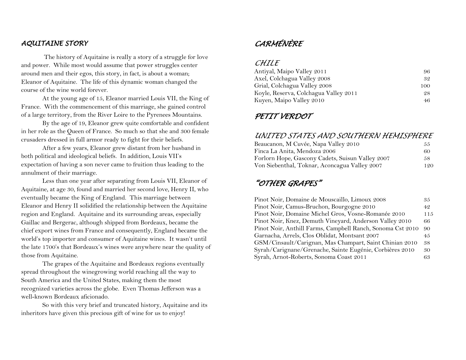#### *AQUITAINE STORY*

 The history of Aquitaine is really a story of a struggle for love and power. While most would assume that power struggles center around men and their egos, this story, in fact, is about a woman; Eleanor of Aquitaine. The life of this dynamic woman changed the course of the wine world forever.

At the young age of 15, Eleanor married Louis VII, the King of France. With the commencement of this marriage, she gained control of a large territory, from the River Loire to the Pyrenees Mountains.

By the age of 19, Eleanor grew quite comfortable and confident in her role as the Queen of France. So much so that she and 300 female crusaders dressed in full armor ready to fight for their beliefs.

After a few years, Eleanor grew distant from her husband in both political and ideological beliefs. In addition, Louis VII's expectation of having a son never came to fruition thus leading to the annulment of their marriage.

Less than one year after separating from Louis VII, Eleanor of Aquitaine, at age 30, found and married her second love, Henry II, who eventually became the King of England. This marriage between Eleanor and Henry II solidified the relationship between the Aquitaine region and England. Aquitaine and its surrounding areas, especially Gaillac and Bergerac, although shipped from Bordeaux, became the chief export wines from France and consequently, England became the world's top importer and consumer of Aquitaine wines. It wasn't until the late 1700's that Bordeaux's wines were anywhere near the quality of those from Aquitaine.

The grapes of the Aquitaine and Bordeaux regions eventually spread throughout the winegrowing world reaching all the way to South America and the United States, making them the most recognized varieties across the globe. Even Thomas Jefferson was a well-known Bordeaux aficionado.

So with this very brief and truncated history, Aquitaine and its inheritors have given this precious gift of wine for us to enjoy!

## *CARMÉNÈRE*

#### *CHILE*

| Antiyal, Maipo Valley 2011            | 96. |
|---------------------------------------|-----|
| Axel, Colchagua Valley 2008           | 32  |
| Grial, Colchagua Valley 2008          | 100 |
| Koyle, Reserva, Colchagua Valley 2011 | 28  |
| Kuyen, Maipo Valley 2010              | 46. |

#### *PETIT VERDOT*

#### *UNITED STATES AND SOUTHERN HEMISPHERE*

| Beaucanon, M Cuvée, Napa Valley 2010             | 55  |
|--------------------------------------------------|-----|
| Finca La Anita, Mendoza 2006                     | 60  |
| Forlorn Hope, Gascony Cadets, Suisun Valley 2007 | 58. |
| Von Siebenthal, Toknar, Aconcagua Valley 2007    | 120 |

### *"OTHER GRAPES"*

| Pinot Noir, Domaine de Mouscaillo, Limoux 2008             | 35  |
|------------------------------------------------------------|-----|
| Pinot Noir, Camus-Bruchon, Bourgogne 2010                  | 42  |
| Pinot Noir, Domaine Michel Gros, Vosne-Romanée 2010        | 115 |
| Pinot Noir, Knez, Demuth Vineyard, Anderson Valley 2010    | 66  |
| Pinot Noir, Anthill Farms, Campbell Ranch, Sonoma Cst 2010 | 90  |
| Garnacha, Arrels, Clos Oblidat, Montsant 2007              | 45  |
| GSM/Cinsault/Carignan, Mas Champart, Saint Chinian 2010    | 38  |
| Syrah/Carignane/Grenache, Sainte Eugénie, Corbières 2010   | 30  |
| Syrah, Arnot-Roberts, Sonoma Coast 2011                    | 63  |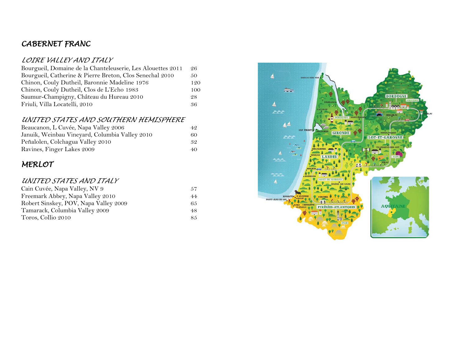## *CABERNET FRANC*

#### *LOIRE VALLEY AND ITALY*

| Bourgueil, Domaine de la Chanteleuserie, Les Alouettes 2011 | 26  |
|-------------------------------------------------------------|-----|
| Bourgueil, Catherine & Pierre Breton, Clos Senechal 2010    | 50  |
| Chinon, Couly Dutheil, Baronnie Madeline 1976               | 120 |
| Chinon, Couly Dutheil, Clos de L'Echo 1983                  | 100 |
| Saumur-Champigny, Château du Hureau 2010                    | 28  |
| Friuli, Villa Locatelli, 2010                               | 36  |

#### *UNITED STATES AND SOUTHERN HEMISPHERE*

| Beaucanon, L Cuvée, Napa Valley 2006           | 42 |
|------------------------------------------------|----|
| Januik, Weinbau Vineyard, Columbia Valley 2010 | 60 |
| Peñalolen, Colchagua Valley 2010               | 32 |
| Ravines, Finger Lakes 2009                     | 40 |

## *MERLOT*

#### *UNITED STATES AND ITALY*

| Cain Cuvée, Napa Valley, NV 9         | .57 |
|---------------------------------------|-----|
| Freemark Abbey, Napa Valley 2010      | 44  |
| Robert Sinskey, POV, Napa Valley 2009 | 65  |
| Tamarack, Columbia Valley 2009        | 48  |
| Toros, Collio 2010                    | 85  |

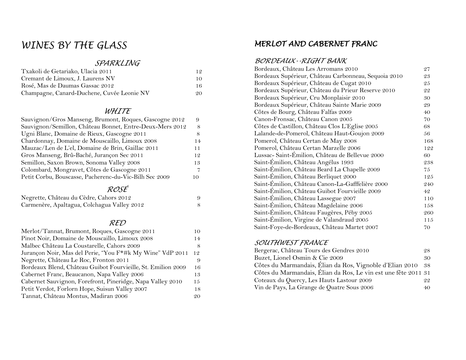## *WINES BY THE GLASS*

#### *SPARKLING*

| Txakoli de Getariako, Ulacia 2011          | 12 |
|--------------------------------------------|----|
| Cremant de Limoux, J. Laurens NV           | 10 |
| Rosé, Mas de Daumas Gassac 2012            | 16 |
| Champagne, Canard-Duchene, Cuvée Leonie NV | 20 |

#### *WHITE*

| Sauvignon/Gros Manseng, Brumont, Roques, Gascogne 2012   | 9  |
|----------------------------------------------------------|----|
| Sauvignon/Semillon, Château Bonnet, Entre-Deux-Mers 2012 | 8  |
| Ugni Blanc, Domaine de Rieux, Gascogne 2011              | 8  |
| Chardonnay, Domaine de Mouscaillo, Limoux 2008           | 14 |
| Mauzac/Len de L'el, Domaine de Brin, Gaillac 2011        | 11 |
| Gros Manseng, Brû-Baché, Jurançon Sec 2011               | 12 |
| Semillon, Saxon Brown, Sonoma Valley 2008                | 13 |
| Colombard, Mongravet, Côtes de Gascogne 2011             |    |
| Petit Corbu, Bouscasse, Pacherenc-du-Vic-Bilh Sec 2009   | 10 |
|                                                          |    |

#### *ROSÉ*

| Negrette, Château du Cèdre, Cahors 2012     |  |
|---------------------------------------------|--|
| Carmenère, Apaltagua, Colchagua Valley 2012 |  |

#### *RED*

| Merlot/Tannat, Brumont, Roques, Gascogne 2011                | 10 |
|--------------------------------------------------------------|----|
| Pinot Noir, Domaine de Mouscaillo, Limoux 2008               | 14 |
| Malbec Château La Coustarelle, Cahors 2009                   |    |
| Jurançon Noir, Mas del Perie, "You F*#k My Wine" VdP 2011    | 12 |
| Negrette, Château Le Roc, Fronton 2011                       | 9  |
| Bordeaux Blend, Château Guibot Fourvieille, St. Emilion 2009 | 16 |
| Cabernet Franc, Beaucanon, Napa Valley 2006                  | 13 |
| Cabernet Sauvignon, Forefront, Pineridge, Napa Valley 2010   | 15 |
| Petit Verdot, Forlorn Hope, Suisun Valley 2007               | 18 |
| Tannat, Château Montus, Madiran 2006                         | 20 |

## *MERLOT AND CABERNET FRANC*

#### *BORDEAUX--RIGHT BANK*

| Bordeaux, Château Les Arromans 2010                  | 27  |
|------------------------------------------------------|-----|
| Bordeaux Supérieur, Château Carbonneau, Sequoia 2010 | 23  |
| Bordeaux Supérieur, Château de Cugat 2010            | 25  |
| Bordeaux Supérieur, Château du Prieur Reserve 2010   | 22  |
| Bordeaux Supérieur, Cru Monplaisir 2010              | 30  |
| Bordeaux Supérieur, Château Sainte Marie 2009        | 29  |
| Côtes de Bourg, Château Falfas 2009                  | 40  |
| Canon-Fronsac, Château Canon 2005                    | 70  |
| Côtes de Castillon, Château Clos L'Eglise 2005       | 68  |
| Lalande-de-Pomerol, Château Haut-Goujon 2009         | 56  |
| Pomerol, Château Certan de May 2008                  | 168 |
| Pomerol, Château Certan Marzelle 2006                | 122 |
| Lussac-Saint-Émilion, Château de Bellevue 2000       | 60  |
| Saint-Émilion, Château Angélus 1993                  | 238 |
| Saint-Émilion, Château Beard La Chapelle 2009        | 75  |
| Saint-Émilion, Château Berliquet 2000                | 125 |
| Saint-Emilion, Château Canon-La-Gafffelière 2000     | 240 |
| Saint-Émilion, Château Guibot Fourvieille 2009       | 42  |
| Saint-Émilion, Château Lassegue 2007                 | 110 |
| Saint-Émilion, Château Magdelaine 2006               | 158 |
| Saint-Émilion, Château Faugères, Péby 2005           | 260 |
| Saint-Émilion, Virgine de Valandraud 2005            | 115 |
| Saint-Foye-de-Bordeaux, Château Martet 2007          | 70  |

#### *SOUTHWEST FRANCE*

| Bergerac, Château Tours des Gendres 2010                       | 28  |
|----------------------------------------------------------------|-----|
| Buzet, Lionel Osmin & Cie 2009                                 | 30  |
| Côtes du Marmandais, Élian da Ros, Vignoble d'Elian 2010       | -38 |
| Côtes du Marmandais, Élian da Ros, Le vin est une fête 2011 31 |     |
| Coteaux du Quercy, Les Hauts Lastour 2009                      | 22  |
| Vin de Pays, La Grange de Quatre Sous 2006                     | 40  |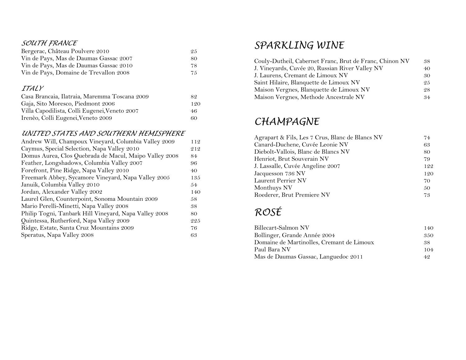#### *SOUTH FRANCE*

| Bergerac, Château Poulvere 2010        | 25  |
|----------------------------------------|-----|
| Vin de Pays, Mas de Daumas Gassac 2007 | 80. |
| Vin de Pays, Mas de Daumas Gassac 2010 | 78. |
| Vin de Pays, Domaine de Trevallon 2008 | 75  |

#### *ITALY*

| Casa Brancaia, Ilatraia, Maremma Toscana 2009 | 89. |
|-----------------------------------------------|-----|
| Gaja, Sito Moresco, Piedmont 2006             | 120 |
| Villa Capodilista, Colli Eugenei, Veneto 2007 | 46  |
| Irenèo, Colli Eugenei, Veneto 2009            | 60  |

#### *UNITED STATES AND SOUTHERN HEMISPHERE*

| Andrew Will, Champoux Vineyard, Columbia Valley 2009   | 112 |
|--------------------------------------------------------|-----|
| Caymus, Special Selection, Napa Valley 2010            | 212 |
| Domus Aurea, Clos Quebrada de Macul, Maipo Valley 2008 | 84  |
| Feather, Longshadows, Columbia Valley 2007             | 96  |
| Forefront, Pine Ridge, Napa Valley 2010                | 40  |
| Freemark Abbey, Sycamore Vineyard, Napa Valley 2005    | 135 |
| Januik, Columbia Valley 2010                           | 54  |
| Jordan, Alexander Valley 2002                          | 140 |
| Laurel Glen, Counterpoint, Sonoma Mountain 2009        | 58  |
| Mario Perelli-Minetti, Napa Valley 2008                | 38  |
| Philip Togni, Tanbark Hill Vineyard, Napa Valley 2008  | 80  |
| Quintessa, Rutherford, Napa Valley 2009                | 225 |
| Ridge, Estate, Santa Cruz Mountains 2009               | 76  |
| Speratus, Napa Valley 2008                             | 63  |
|                                                        |     |

## *SPARKLING WINE*

| Couly-Dutheil, Cabernet Franc, Brut de Franc, Chinon NV | 38 |
|---------------------------------------------------------|----|
| J. Vineyards, Cuvée 20, Russian River Valley NV         | 40 |
| J. Laurens, Cremant de Limoux NV                        | 30 |
| Saint Hilaire, Blanquette de Limoux NV                  | 25 |
| Maison Vergnes, Blanquette de Limoux NV                 | 28 |
| Maison Vergnes, Methode Ancestrale NV                   | 34 |

## *CHAMPAGNE*

| Agrapart & Fils, Les 7 Crus, Blanc de Blancs NV | 74  |
|-------------------------------------------------|-----|
| Canard-Duchene, Cuvée Leonie NV                 | 63  |
| Diebolt-Vallois, Blanc de Blancs NV             | 80  |
| Henriot, Brut Souverain NV                      | 79  |
| J. Lassalle, Cuvée Angeline 2007                | 122 |
| Jacquesson 736 NV                               | 120 |
| <b>Laurent Perrier NV</b>                       | 70  |
| Monthuys NV                                     | 50  |
| Roederer, Brut Premiere NV                      | 73  |

# *ROSÉ*

| Billecart-Salmon NV                       | 140 |
|-------------------------------------------|-----|
| Bollinger, Grande Année 2004              | 350 |
| Domaine de Martinolles, Cremant de Limoux | 38. |
| Paul Bara NV                              | 104 |
| Mas de Daumas Gassac, Languedoc 2011      | 49. |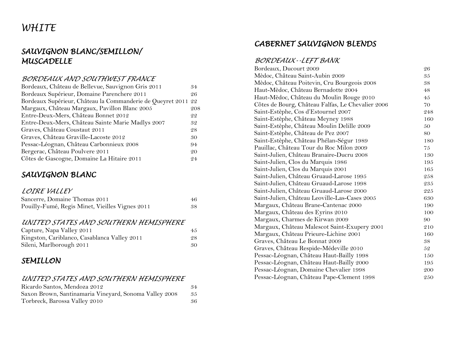# *WHITE*

## *SAUVIGNON BLANC/SEMILLON/ MUSCADELLE*

#### *BORDEAUX AND SOUTHWEST FRANCE*

| Bordeaux, Château de Bellevue, Sauvignon Gris 2011         | 34  |
|------------------------------------------------------------|-----|
| Bordeaux Supérieur, Domaine Parenchere 2011                | 26  |
| Bordeaux Supérieur, Château la Commanderie de Queyret 2011 | 22  |
| Margaux, Château Margaux, Pavillon Blanc 2005              | 208 |
| Entre-Deux-Mers, Château Bonnet 2012                       | 22  |
| Entre-Deux-Mers, Château Sainte Marie Madlys 2007          | 32  |
| Graves, Château Coustaut 2011                              | 28  |
| Graves, Château Graville-Lacoste 2012                      | 30  |
| Pessac-Léognan, Château Carbonnieux 2008                   | 94  |
| Bergerac, Château Poulvere 2011                            | 20  |
| Côtes de Gascogne, Domaine La Hitaire 2011                 | 24  |

## *SAUVIGNON BLANC*

#### *LOIRE VALLEY*

| Sancerre, Domaine Thomas 2011                   | 46 |
|-------------------------------------------------|----|
| Pouilly-Fumé, Regis Minet, Vieilles Vignes 2011 | 38 |

#### *UNITED STATES AND SOUTHERN HEMISPHERE*

| Capture, Napa Valley 2011                    | 45 |
|----------------------------------------------|----|
| Kingston, Cariblanco, Casablanca Valley 2011 | 28 |
| Sileni, Marlborough 2011                     | 30 |

## *SEMILLON*

#### *UNITED STATES AND SOUTHERN HEMISPHERE*

| Ricardo Santos, Mendoza 2012                           | 34 |
|--------------------------------------------------------|----|
| Saxon Brown, Santinamaria Vineyard, Sonoma Valley 2008 | 35 |
| Torbreck, Barossa Valley 2010                          | 36 |

## *CABERNET SAUVIGNON BLENDS*

#### *BORDEAUX--LEFT BANK*

| Bordeaux, Ducourt 2009                            | 26  |
|---------------------------------------------------|-----|
| Mèdoc, Château Saint-Aubin 2009                   | 35  |
| Mèdoc, Château Poitevin, Cru Bourgeois 2008       | 38  |
| Haut-Mèdoc, Château Bernadotte 2004               | 48  |
| Haut-Mèdoc, Château du Moulin Rouge 2010          | 45  |
| Côtes de Bourg, Château Falfas, Le Chevalier 2006 | 70  |
| Saint-Estèphe, Cos d'Estournel 2007               | 248 |
| Saint-Estèphe, Château Meyney 1988                | 160 |
| Saint-Estèphe, Château Moulin Delille 2009        | 50  |
| Saint-Estèphe, Château de Pez 2007                | 80  |
| Saint-Estèphe, Château Phélan-Ségur 1989          | 180 |
| Pauillac, Château Tour du Roc Milon 2009          | 75  |
| Saint-Julien, Château Branaire-Ducru 2008         | 130 |
| Saint-Julien, Clos du Marquis 1986                | 195 |
| Saint-Julien, Clos du Marquis 2001                | 165 |
| Saint-Julien, Château Gruaud-Larose 1995          | 258 |
| Saint-Julien, Château Gruaud-Larose 1998          | 235 |
| Saint-Julien, Château Gruaud-Larose 2000          | 225 |
| Saint-Julien, Château Leoville-Las-Cases 2005     | 630 |
| Margaux, Château Brane-Cantenac 2000              | 190 |
| Margaux, Château des Eyrins 2010                  | 100 |
| Margaux, Charmes de Kirwan 2009                   | 90  |
| Margaux, Château Malescot Saint-Exupery 2001      | 210 |
| Margaux, Château Prieure-Lichine 2001             | 160 |
| Graves, Château Le Bonnat 2009                    | 38  |
| Graves, Château Respide-Médeville 2010            | 52  |
| Pessac-Léognan, Château Haut-Bailly 1998          | 150 |
| Pessac-Léognan, Château Haut-Bailly 2000          | 195 |
| Pessac-Léognan, Domaine Chevalier 1998            | 200 |
| Pessac-Léognan, Château Pape-Clement 1998         | 250 |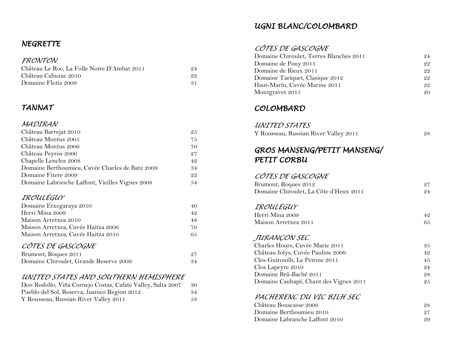## *NEGRETTE*

#### *FRONTON*

| Château Le Roc, La Folle Noire D'Ambat 2011 | 94  |
|---------------------------------------------|-----|
| Château Cahuzac 2010                        | 99. |
| Domaine Flotis 2009                         | -31 |

## *TANNAT*

#### *MADIRAN*

| Château Barrejat 2010                           | 25  |
|-------------------------------------------------|-----|
| Château Montus 2005                             | 75  |
| Château Montus 2006                             | 70  |
| Château Peyros 2006                             | 27  |
| Chapelle Lenclos 2008                           | 42  |
| Domaine Berthoumieu, Cuvée Charles de Batz 2009 | .34 |
| Domaine Fitere 2009                             | 22  |
| Domaine Labranche Laffont, Vieilles Vignes 2008 | 54  |

#### *IROULÉGUY*

| Domaine Etxegaraya 2010            | 40 |
|------------------------------------|----|
| Herri Mina 2009                    | 42 |
| Maison Arretxea 2010               | 48 |
| Maison Arretxea, Cuvée Haitza 2006 | 70 |
| Maison Arretxea, Cuvée Haitza 2010 | 65 |
| CÂTES DE CASCOCAIE                 |    |

#### *CÔTES DE GASCOGNE*

| Brumont, Roques 2011                   |    |
|----------------------------------------|----|
| Domaine Chiroulet, Grande Reserve 2009 | 34 |

### *UNITED STATES AND SOUTHERN HEMISPHERE*

| Don Rodolfo, Viña Cornejo Costas, Cafate Valley, Salta 2007 | -30 |
|-------------------------------------------------------------|-----|
| Pueblo del Sol, Reserva, Juanico Region 2012                | .34 |
| Y Rousseau, Russian River Valley 2011                       | .58 |

### *UGNI BLANC/COLOMBARD*

#### *CÔTES DE GASCOGNE*

| Domaine Chiroulet, Terres Blanches 2011 | 24 |
|-----------------------------------------|----|
| Domaine de Pouy 2011                    | 22 |
| Domaine de Rieux 2011                   | 22 |
| Domaine Tariquet, Clasique 2012         | 22 |
| Haut-Marín, Cuvée Marine 2011           | 22 |
| Montgravet 2011                         | 20 |

### *COLOMBARD*

#### *UNITED STATES*

| . |                                       |  |
|---|---------------------------------------|--|
|   | Y Rousseau, Russian River Valley 2011 |  |

## *GROS MANSENG/PETIT MANSENG/ PETIT CORBU*

#### *CÔTES DE GASCOGNE*

| Brumont, Roques 2012                   |    |
|----------------------------------------|----|
| Domaine Chiroulet, La Côte d'Heux 2011 | 24 |

### *IROULÉGUY*

| Herri Mina 2009      | 42 |
|----------------------|----|
| Maison Arretxea 2011 | 65 |

#### *JURANÇON SEC*

| Charles Hours, Cuvée Marie 2011        | 35  |
|----------------------------------------|-----|
| Château Jolys, Cuvée Pauline 2009      | 42  |
| Clos Guirouilh, Le Peïrine 2011        | 4.5 |
| Clos Lapeyre 2010                      | 24  |
| Domaine Brû-Baché 2011                 | 28  |
| Domaine Cauhapé, Chant des Vignes 2011 | 25  |

#### *PACHERENC DU VIC BILH SEC*

| Château Bouscasse 2009         | 9.8 |
|--------------------------------|-----|
| Domaine Berthoumieu 2010       | 97  |
| Domaine Labranche Laffont 2010 | QQ  |